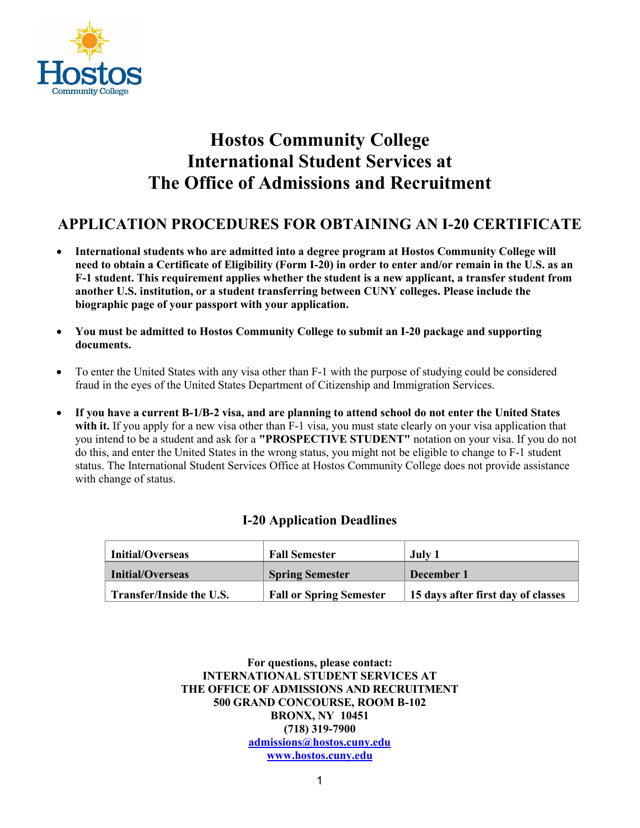

## **Hostos Community College International Student Services at The Office of Admissions and Recruitment**

## **APPLICATION PROCEDURES FOR OBTAINING AN I-20 CERTIFICATE**

- **International students who are admitted into a degree program at Hostos Community College will need to obtain a Certificate of Eligibility (Form I-20) in order to enter and/or remain in the U.S. as an F-1 student. This requirement applies whether the student is a new applicant, a transfer student from another U.S. institution, or a student transferring between CUNY colleges. Please include the biographic page of your passport with your application.**
- **You must be admitted to Hostos Community College to submit an I-20 package and supporting documents.**
- To enter the United States with any visa other than F-1 with the purpose of studying could be considered fraud in the eyes of the United States Department of Citizenship and Immigration Services.
- **If you have a current B-1/B-2 visa, and are planning to attend school do not enter the United States** with it. If you apply for a new visa other than F-1 visa, you must state clearly on your visa application that you intend to be a student and ask for a **"PROSPECTIVE STUDENT"** notation on your visa. If you do not do this, and enter the United States in the wrong status, you might not be eligible to change to F-1 student status. The International Student Services Office at Hostos Community College does not provide assistance with change of status.

## **I-20 Application Deadlines**

| <b>Initial/Overseas</b>  | <b>Fall Semester</b>           | July 1                             |
|--------------------------|--------------------------------|------------------------------------|
| Initial/Overseas         | <b>Spring Semester</b>         | December 1                         |
| Transfer/Inside the U.S. | <b>Fall or Spring Semester</b> | 15 days after first day of classes |

**For questions, please contact: INTERNATIONAL STUDENT SERVICES AT THE OFFICE OF ADMISSIONS AND RECRUITMENT 500 GRAND CONCOURSE, ROOM B-102 BRONX, NY 10451 (718) 319-7900 [admissions@hostos.cuny.edu](mailto:admissions@hostos.cuny.edu)  [www.hostos.cuny.edu](http://www.hostos.cuny.edu/)**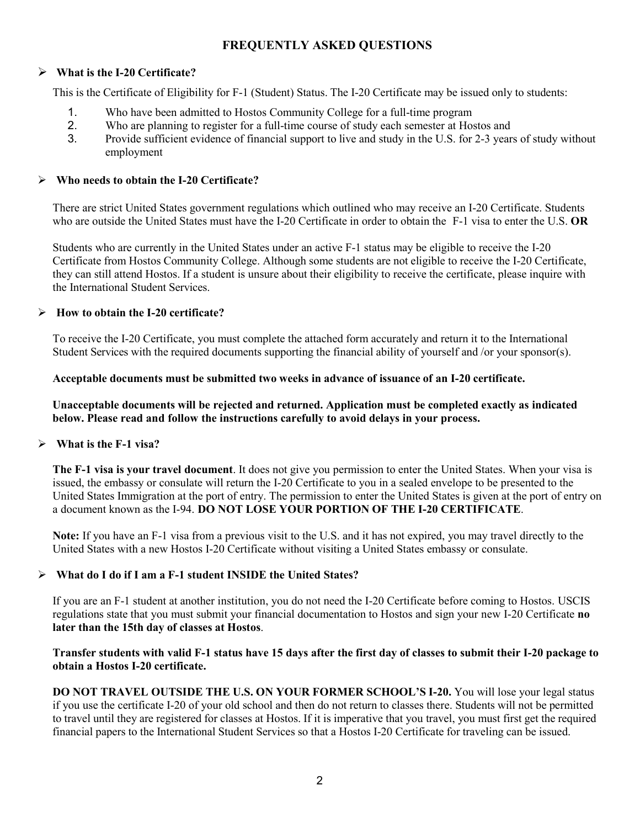## **FREQUENTLY ASKED QUESTIONS**

#### **What is the I-20 Certificate?**

This is the Certificate of Eligibility for F-1 (Student) Status. The I-20 Certificate may be issued only to students:

- 1. Who have been admitted to Hostos Community College for a full-time program<br>2. Who are planning to register for a full-time course of study each semester at Host
- 2. Who are planning to register for a full-time course of study each semester at Hostos and<br>3. Provide sufficient evidence of financial support to live and study in the U.S. for 2-3 year
- 3. Provide sufficient evidence of financial support to live and study in the U.S. for 2-3 years of study without employment

#### **Who needs to obtain the I-20 Certificate?**

There are strict United States government regulations which outlined who may receive an I-20 Certificate. Students who are outside the United States must have the I-20 Certificate in order to obtain the F-1 visa to enter the U.S. **OR**

Students who are currently in the United States under an active F-1 status may be eligible to receive the I-20 Certificate from Hostos Community College. Although some students are not eligible to receive the I-20 Certificate, they can still attend Hostos. If a student is unsure about their eligibility to receive the certificate, please inquire with the International Student Services.

#### **How to obtain the I-20 certificate?**

To receive the I-20 Certificate, you must complete the attached form accurately and return it to the International Student Services with the required documents supporting the financial ability of yourself and /or your sponsor(s).

#### **Acceptable documents must be submitted two weeks in advance of issuance of an I-20 certificate.**

**Unacceptable documents will be rejected and returned. Application must be completed exactly as indicated below. Please read and follow the instructions carefully to avoid delays in your process.** 

## **What is the F-1 visa?**

**The F-1 visa is your travel document**. It does not give you permission to enter the United States. When your visa is issued, the embassy or consulate will return the I-20 Certificate to you in a sealed envelope to be presented to the United States Immigration at the port of entry. The permission to enter the United States is given at the port of entry on a document known as the I-94. **DO NOT LOSE YOUR PORTION OF THE I-20 CERTIFICATE**.

**Note:** If you have an F-1 visa from a previous visit to the U.S. and it has not expired, you may travel directly to the United States with a new Hostos I-20 Certificate without visiting a United States embassy or consulate.

## **What do I do if I am a F-1 student INSIDE the United States?**

If you are an F-1 student at another institution, you do not need the I-20 Certificate before coming to Hostos. USCIS regulations state that you must submit your financial documentation to Hostos and sign your new I-20 Certificate **no later than the 15th day of classes at Hostos**.

#### **Transfer students with valid F-1 status have 15 days after the first day of classes to submit their I-20 package to obtain a Hostos I-20 certificate.**

**DO NOT TRAVEL OUTSIDE THE U.S. ON YOUR FORMER SCHOOL'S I-20.** You will lose your legal status if you use the certificate I-20 of your old school and then do not return to classes there. Students will not be permitted to travel until they are registered for classes at Hostos. If it is imperative that you travel, you must first get the required financial papers to the International Student Services so that a Hostos I-20 Certificate for traveling can be issued.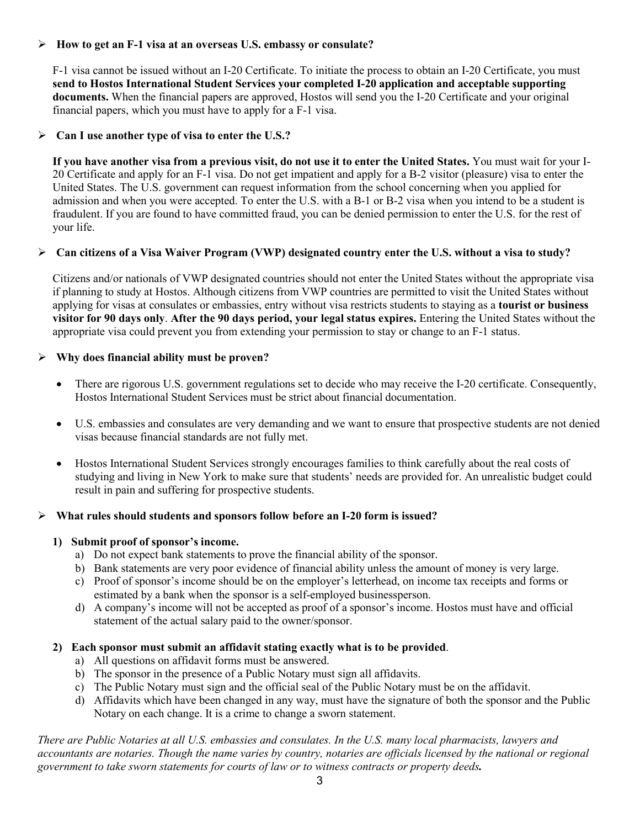#### **How to get an F-1 visa at an overseas U.S. embassy or consulate?**

F-1 visa cannot be issued without an I-20 Certificate. To initiate the process to obtain an I-20 Certificate, you must **send to Hostos International Student Services your completed I-20 application and acceptable supporting documents.** When the financial papers are approved, Hostos will send you the I-20 Certificate and your original financial papers, which you must have to apply for a F-1 visa.

#### **Can I use another type of visa to enter the U.S.?**

If you have another visa from a previous visit, do not use it to enter the United States. You must wait for your I-20 Certificate and apply for an F-1 visa. Do not get impatient and apply for a B-2 visitor (pleasure) visa to enter the United States. The U.S. government can request information from the school concerning when you applied for admission and when you were accepted. To enter the U.S. with a B-1 or B-2 visa when you intend to be a student is fraudulent. If you are found to have committed fraud, you can be denied permission to enter the U.S. for the rest of your life.

#### **Can citizens of a Visa Waiver Program (VWP) designated country enter the U.S. without a visa to study?**

Citizens and/or nationals of VWP designated countries should not enter the United States without the appropriate visa if planning to study at Hostos. Although citizens from VWP countries are permitted to visit the United States without applying for visas at consulates or embassies, entry without visa restricts students to staying as a **tourist or business visitor for 90 days only**. **After the 90 days period, your legal status expires.** Entering the United States without the appropriate visa could prevent you from extending your permission to stay or change to an F-1 status.

#### **Why does financial ability must be proven?**

- There are rigorous U.S. government regulations set to decide who may receive the I-20 certificate. Consequently, Hostos International Student Services must be strict about financial documentation.
- U.S. embassies and consulates are very demanding and we want to ensure that prospective students are not denied visas because financial standards are not fully met.
- Hostos International Student Services strongly encourages families to think carefully about the real costs of studying and living in New York to make sure that students' needs are provided for. An unrealistic budget could result in pain and suffering for prospective students.

#### **What rules should students and sponsors follow before an I-20 form is issued?**

#### **1) Submit proof of sponsor's income.**

- a) Do not expect bank statements to prove the financial ability of the sponsor.
- b) Bank statements are very poor evidence of financial ability unless the amount of money is very large.
- c) Proof of sponsor's income should be on the employer's letterhead, on income tax receipts and forms or estimated by a bank when the sponsor is a self-employed businessperson.
- d) A company's income will not be accepted as proof of a sponsor's income. Hostos must have and official statement of the actual salary paid to the owner/sponsor.

#### **2) Each sponsor must submit an affidavit stating exactly what is to be provided**.

- a) All questions on affidavit forms must be answered.
- b) The sponsor in the presence of a Public Notary must sign all affidavits.
- c) The Public Notary must sign and the official seal of the Public Notary must be on the affidavit.
- d) Affidavits which have been changed in any way, must have the signature of both the sponsor and the Public Notary on each change. It is a crime to change a sworn statement.

*There are Public Notaries at all U.S. embassies and consulates. In the U.S. many local pharmacists, lawyers and accountants are notaries. Though the name varies by country, notaries are officials licensed by the national or regional government to take sworn statements for courts of law or to witness contracts or property deeds.*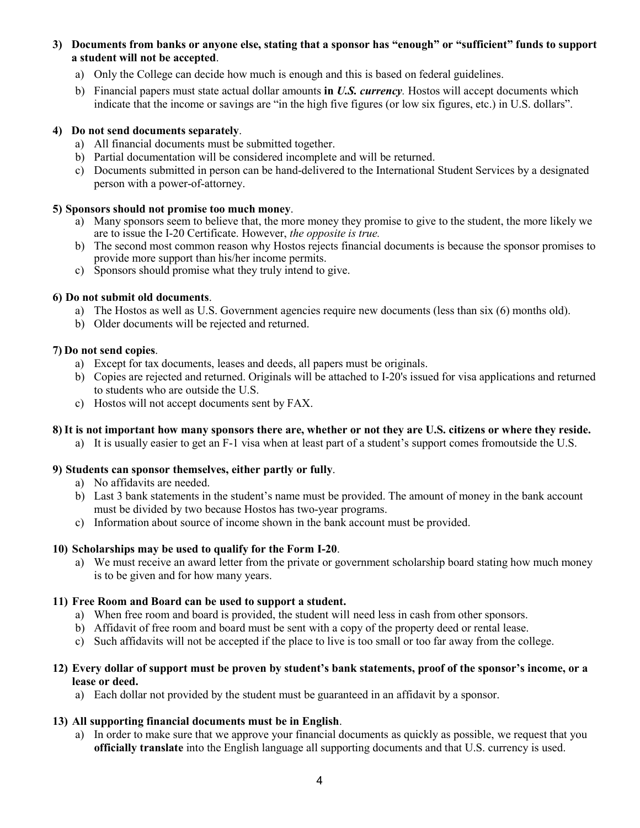- **3) Documents from banks or anyone else, stating that a sponsor has "enough" or "sufficient" funds to support a student will not be accepted**.
	- a) Only the College can decide how much is enough and this is based on federal guidelines.
	- b) Financial papers must state actual dollar amounts **in** *U.S. currency.* Hostos will accept documents which indicate that the income or savings are "in the high five figures (or low six figures, etc.) in U.S. dollars".

#### **4) Do not send documents separately**.

- a) All financial documents must be submitted together.
- b) Partial documentation will be considered incomplete and will be returned.
- c) Documents submitted in person can be hand-delivered to the International Student Services by a designated person with a power-of-attorney.

#### **5) Sponsors should not promise too much money**.

- a) Many sponsors seem to believe that, the more money they promise to give to the student, the more likely we are to issue the I-20 Certificate. However, *the opposite is true.*
- b) The second most common reason why Hostos rejects financial documents is because the sponsor promises to provide more support than his/her income permits.
- c) Sponsors should promise what they truly intend to give.

#### **6) Do not submit old documents**.

- a) The Hostos as well as U.S. Government agencies require new documents (less than six (6) months old).
- b) Older documents will be rejected and returned.

#### **7) Do not send copies**.

- a) Except for tax documents, leases and deeds, all papers must be originals.
- b) Copies are rejected and returned. Originals will be attached to I-20's issued for visa applications and returned to students who are outside the U.S.
- c) Hostos will not accept documents sent by FAX.

#### **8)It is not important how many sponsors there are, whether or not they are U.S. citizens or where they reside.**

a) It is usually easier to get an F-1 visa when at least part of a student's support comes fromoutside the U.S.

#### **9) Students can sponsor themselves, either partly or fully**.

- a) No affidavits are needed.
- b) Last 3 bank statements in the student's name must be provided. The amount of money in the bank account must be divided by two because Hostos has two-year programs.
- c) Information about source of income shown in the bank account must be provided.

#### **10) Scholarships may be used to qualify for the Form I-20**.

a) We must receive an award letter from the private or government scholarship board stating how much money is to be given and for how many years.

#### **11) Free Room and Board can be used to support a student.**

- a) When free room and board is provided, the student will need less in cash from other sponsors.
- b) Affidavit of free room and board must be sent with a copy of the property deed or rental lease.
- c) Such affidavits will not be accepted if the place to live is too small or too far away from the college.

#### **12) Every dollar of support must be proven by student's bank statements, proof of the sponsor's income, or a lease or deed.**

a) Each dollar not provided by the student must be guaranteed in an affidavit by a sponsor.

#### **13) All supporting financial documents must be in English**.

a) In order to make sure that we approve your financial documents as quickly as possible, we request that you **officially translate** into the English language all supporting documents and that U.S. currency is used.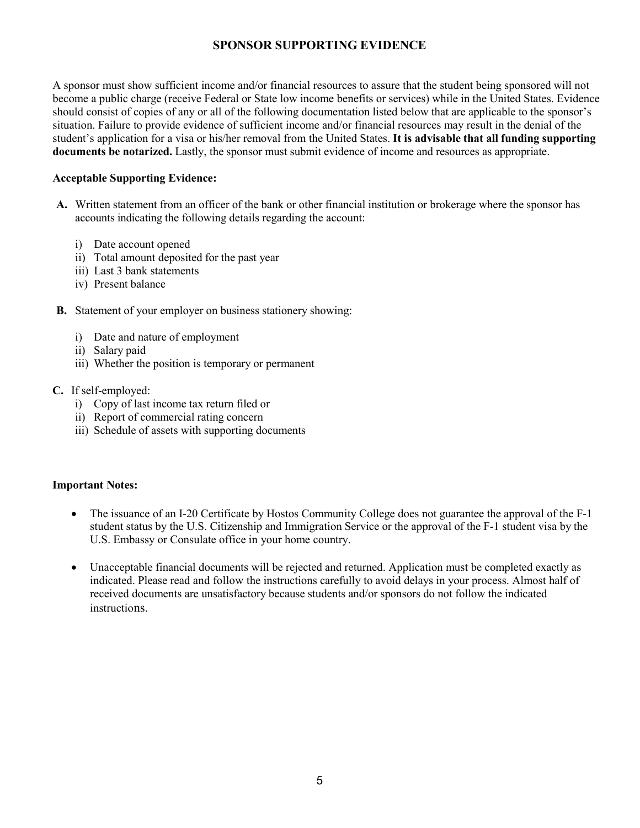## **SPONSOR SUPPORTING EVIDENCE**

A sponsor must show sufficient income and/or financial resources to assure that the student being sponsored will not become a public charge (receive Federal or State low income benefits or services) while in the United States. Evidence should consist of copies of any or all of the following documentation listed below that are applicable to the sponsor's situation. Failure to provide evidence of sufficient income and/or financial resources may result in the denial of the student's application for a visa or his/her removal from the United States. **It is advisable that all funding supporting documents be notarized.** Lastly, the sponsor must submit evidence of income and resources as appropriate.

#### **Acceptable Supporting Evidence:**

- **A.** Written statement from an officer of the bank or other financial institution or brokerage where the sponsor has accounts indicating the following details regarding the account:
	- i) Date account opened
	- ii) Total amount deposited for the past year
	- iii) Last 3 bank statements
	- iv) Present balance
- **B.** Statement of your employer on business stationery showing:
	- i) Date and nature of employment
	- ii) Salary paid
	- iii) Whether the position is temporary or permanent
- **C.** If self-employed:
	- i) Copy of last income tax return filed or
	- ii) Report of commercial rating concern
	- iii) Schedule of assets with supporting documents

#### **Important Notes:**

- The issuance of an I-20 Certificate by Hostos Community College does not guarantee the approval of the F-1 student status by the U.S. Citizenship and Immigration Service or the approval of the F-1 student visa by the U.S. Embassy or Consulate office in your home country.
- Unacceptable financial documents will be rejected and returned. Application must be completed exactly as indicated. Please read and follow the instructions carefully to avoid delays in your process. Almost half of received documents are unsatisfactory because students and/or sponsors do not follow the indicated instructions.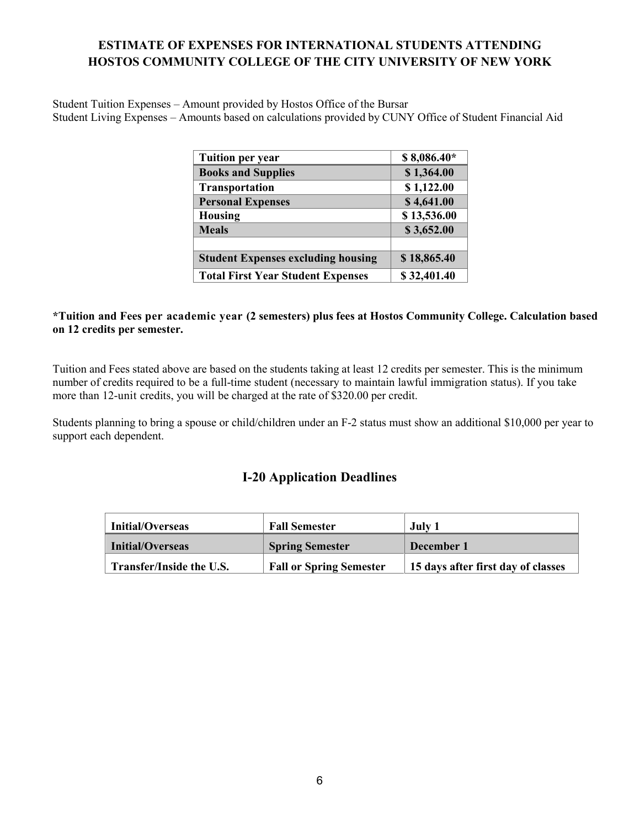## **ESTIMATE OF EXPENSES FOR INTERNATIONAL STUDENTS ATTENDING HOSTOS COMMUNITY COLLEGE OF THE CITY UNIVERSITY OF NEW YORK**

Student Tuition Expenses – Amount provided by Hostos Office of the Bursar Student Living Expenses – Amounts based on calculations provided by CUNY Office of Student Financial Aid

| <b>Tuition per year</b>                   | $$8,086.40*$ |
|-------------------------------------------|--------------|
| <b>Books and Supplies</b>                 | \$1,364.00   |
| <b>Transportation</b>                     | \$1,122.00   |
| <b>Personal Expenses</b>                  | \$4,641.00   |
| <b>Housing</b>                            | \$13,536.00  |
| <b>Meals</b>                              | \$3,652.00   |
|                                           |              |
| <b>Student Expenses excluding housing</b> | \$18,865.40  |
| <b>Total First Year Student Expenses</b>  | \$32,401.40  |

#### **\*Tuition and Fees per academic year (2 semesters) plus fees at Hostos Community College. Calculation based on 12 credits per semester.**

Tuition and Fees stated above are based on the students taking at least 12 credits per semester. This is the minimum number of credits required to be a full-time student (necessary to maintain lawful immigration status). If you take more than 12-unit credits, you will be charged at the rate of \$320.00 per credit.

Students planning to bring a spouse or child/children under an F-2 status must show an additional \$10,000 per year to support each dependent.

## **I-20 Application Deadlines**

| Initial/Overseas         | <b>Fall Semester</b>           | July 1                             |
|--------------------------|--------------------------------|------------------------------------|
| Initial/Overseas         | <b>Spring Semester</b>         | December 1                         |
| Transfer/Inside the U.S. | <b>Fall or Spring Semester</b> | 15 days after first day of classes |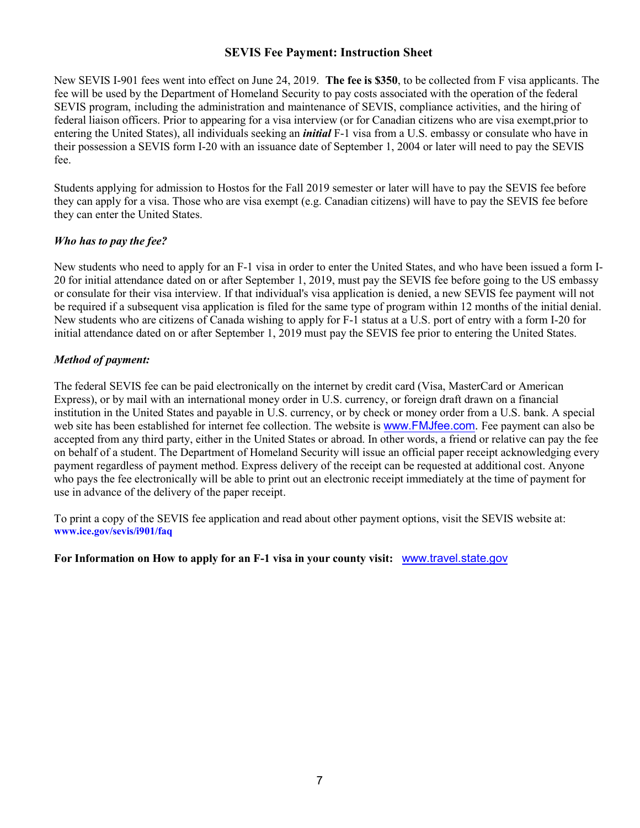#### **SEVIS Fee Payment: Instruction Sheet**

New SEVIS I-901 fees went into effect on June 24, 2019. **The fee is \$350**, to be collected from F visa applicants. The fee will be used by the Department of Homeland Security to pay costs associated with the operation of the federal SEVIS program, including the administration and maintenance of SEVIS, compliance activities, and the hiring of federal liaison officers. Prior to appearing for a visa interview (or for Canadian citizens who are visa exempt, prior to entering the United States), all individuals seeking an *initial* F-1 visa from a U.S. embassy or consulate who have in their possession a SEVIS form I-20 with an issuance date of September 1, 2004 or later will need to pay the SEVIS fee.

Students applying for admission to Hostos for the Fall 2019 semester or later will have to pay the SEVIS fee before they can apply for a visa. Those who are visa exempt (e.g. Canadian citizens) will have to pay the SEVIS fee before they can enter the United States.

#### *Who has to pay the fee?*

New students who need to apply for an F-1 visa in order to enter the United States, and who have been issued a form I-20 for initial attendance dated on or after September 1, 2019, must pay the SEVIS fee before going to the US embassy or consulate for their visa interview. If that individual's visa application is denied, a new SEVIS fee payment will not be required if a subsequent visa application is filed for the same type of program within 12 months of the initial denial. New students who are citizens of Canada wishing to apply for F-1 status at a U.S. port of entry with a form I-20 for initial attendance dated on or after September 1, 2019 must pay the SEVIS fee prior to entering the United States.

#### *Method of payment:*

The federal SEVIS fee can be paid electronically on the internet by credit card (Visa, MasterCard or American Express), or by mail with an international money order in U.S. currency, or foreign draft drawn on a financial institution in the United States and payable in U.S. currency, or by check or money order from a U.S. bank. A special web site has been established for internet fee collection. The website is [www.FMJfee.com.](http://www.fmjfee.com/) Fee payment can also be accepted from any third party, either in the United States or abroad. In other words, a friend or relative can pay the fee on behalf of a student. The Department of Homeland Security will issue an official paper receipt acknowledging every payment regardless of payment method. Express delivery of the receipt can be requested at additional cost. Anyone who pays the fee electronically will be able to print out an electronic receipt immediately at the time of payment for use in advance of the delivery of the paper receipt.

To print a copy of the SEVIS fee application and read about other payment options, visit the SEVIS website at: **www.ice.gov/sevis/i901/faq**

**For Information on How to apply for an F-1 visa in your county visit:** www.travel.state.gov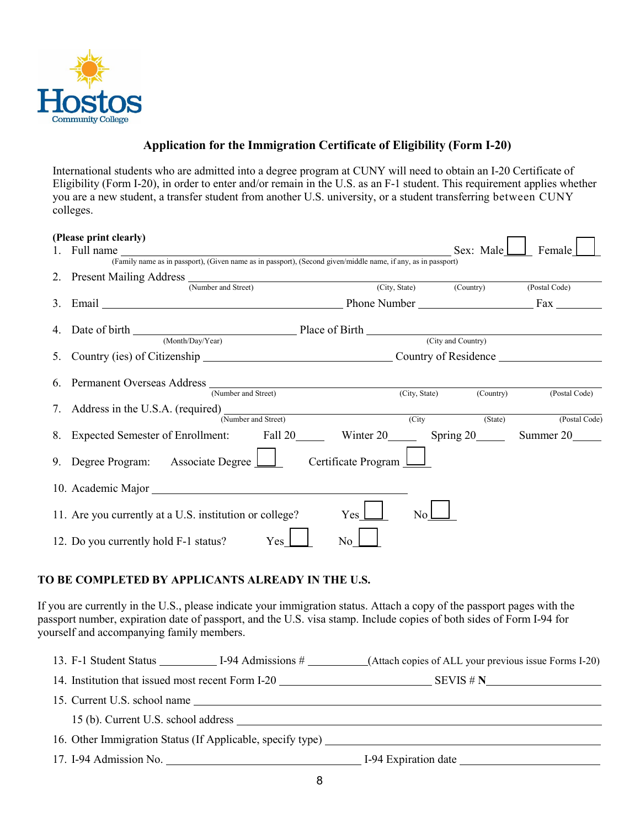

## **Application for the Immigration Certificate of Eligibility (Form I-20)**

International students who are admitted into a degree program at CUNY will need to obtain an I-20 Certificate of Eligibility (Form I-20), in order to enter and/or remain in the U.S. as an F-1 student. This requirement applies whether you are a new student, a transfer student from another U.S. university, or a student transferring between CUNY colleges.

| (Please print clearly)                                                                                        |                    |               |
|---------------------------------------------------------------------------------------------------------------|--------------------|---------------|
| Full name                                                                                                     | Sex: Male          | Female        |
| (Family name as in passport), (Given name as in passport), (Second given/middle name, if any, as in passport) |                    |               |
|                                                                                                               |                    |               |
| (Number and Street)<br>(City, State) (Country)                                                                |                    | (Postal Code) |
| Phone Number <u>Containing</u> Fax Contains Pay                                                               |                    |               |
|                                                                                                               |                    |               |
| (Month/Day/Year)                                                                                              | (City and Country) |               |
|                                                                                                               |                    |               |
| (Number and Street)<br>(City, State)                                                                          | (Country)          | (Postal Code) |
| (Number and Street)<br>(City)                                                                                 | (State)            | (Postal Code) |
| 8. Expected Semester of Enrollment: Fall 20 Winter 20 Spring 20                                               |                    | Summer 20     |
| 9. Degree Program: Associate Degree $\boxed{\phantom{a}}$<br>Certificate Program L                            |                    |               |
|                                                                                                               |                    |               |
| 11. Are you currently at a U.S. institution or college?<br>Yes $\mathsf{\mathsf{\mathsf{\mathsf{L}}}}$<br>No  |                    |               |
| 12. Do you currently hold F-1 status?<br>Yes  <br>No                                                          |                    |               |

## **TO BE COMPLETED BY APPLICANTS ALREADY IN THE U.S.**

If you are currently in the U.S., please indicate your immigration status. Attach a copy of the passport pages with the passport number, expiration date of passport, and the U.S. visa stamp. Include copies of both sides of Form I-94 for yourself and accompanying family members.

|                                                   | 13. F-1 Student Status I-94 Admissions # (Attach copies of ALL your previous issue Forms I-20) |
|---------------------------------------------------|------------------------------------------------------------------------------------------------|
| 14. Institution that issued most recent Form I-20 | SEVIS # N                                                                                      |
| 15. Current U.S. school name                      |                                                                                                |
| 15 (b). Current U.S. school address               |                                                                                                |
|                                                   | 16. Other Immigration Status (If Applicable, specify type)                                     |
| 17. I-94 Admission No.                            |                                                                                                |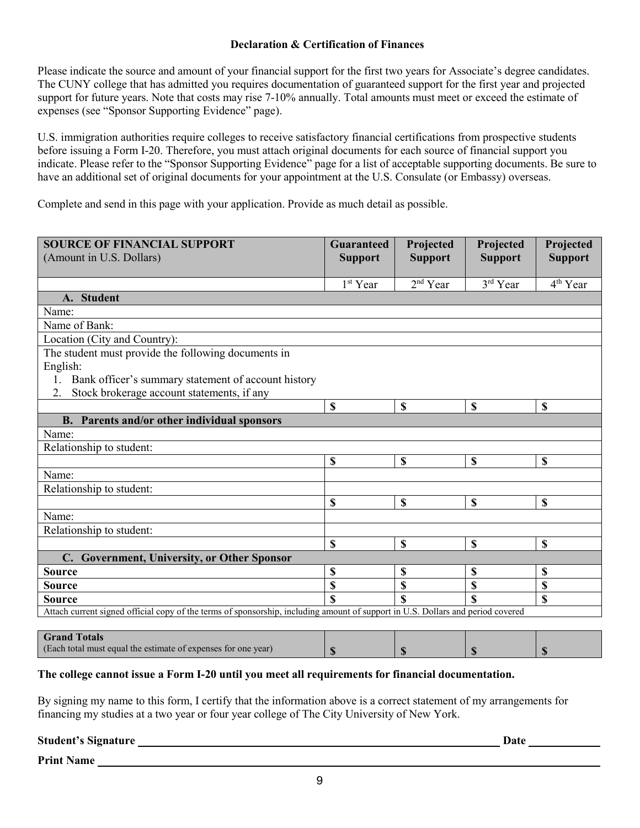#### **Declaration & Certification of Finances**

Please indicate the source and amount of your financial support for the first two years for Associate's degree candidates. The CUNY college that has admitted you requires documentation of guaranteed support for the first year and projected support for future years. Note that costs may rise 7-10% annually. Total amounts must meet or exceed the estimate of expenses (see "Sponsor Supporting Evidence" page).

U.S. immigration authorities require colleges to receive satisfactory financial certifications from prospective students before issuing a Form I-20. Therefore, you must attach original documents for each source of financial support you indicate. Please refer to the "Sponsor Supporting Evidence" page for a list of acceptable supporting documents. Be sure to have an additional set of original documents for your appointment at the U.S. Consulate (or Embassy) overseas.

Complete and send in this page with your application. Provide as much detail as possible.

| <b>SOURCE OF FINANCIAL SUPPORT</b>                                                                                              | <b>Guaranteed</b>    | Projected      | Projected      | Projected                 |  |
|---------------------------------------------------------------------------------------------------------------------------------|----------------------|----------------|----------------|---------------------------|--|
| (Amount in U.S. Dollars)                                                                                                        | <b>Support</b>       | <b>Support</b> | <b>Support</b> | <b>Support</b>            |  |
|                                                                                                                                 |                      |                |                |                           |  |
|                                                                                                                                 | 1 <sup>st</sup> Year | $2nd$ Year     | 3rd Year       | 4 <sup>th</sup> Year      |  |
| <b>Student</b><br>A.                                                                                                            |                      |                |                |                           |  |
| Name:                                                                                                                           |                      |                |                |                           |  |
| Name of Bank:                                                                                                                   |                      |                |                |                           |  |
| Location (City and Country):                                                                                                    |                      |                |                |                           |  |
| The student must provide the following documents in                                                                             |                      |                |                |                           |  |
| English:                                                                                                                        |                      |                |                |                           |  |
| Bank officer's summary statement of account history                                                                             |                      |                |                |                           |  |
| Stock brokerage account statements, if any<br>2.                                                                                |                      |                |                |                           |  |
|                                                                                                                                 | \$                   | \$             | $\mathbf S$    | $\mathbf S$               |  |
| <b>B.</b> Parents and/or other individual sponsors                                                                              |                      |                |                |                           |  |
| Name:                                                                                                                           |                      |                |                |                           |  |
| Relationship to student:                                                                                                        |                      |                |                |                           |  |
|                                                                                                                                 | \$                   | \$             | $\mathbf S$    | $\mathbf S$               |  |
| Name:                                                                                                                           |                      |                |                |                           |  |
| Relationship to student:                                                                                                        |                      |                |                |                           |  |
|                                                                                                                                 | \$                   | \$             | $\mathbf S$    | $\mathbf S$               |  |
| Name:                                                                                                                           |                      |                |                |                           |  |
| Relationship to student:                                                                                                        |                      |                |                |                           |  |
|                                                                                                                                 | \$                   | \$             | $\mathbf S$    | $\mathbf S$               |  |
| C. Government, University, or Other Sponsor                                                                                     |                      |                |                |                           |  |
| <b>Source</b>                                                                                                                   | \$                   | \$             | \$             | $\boldsymbol{\mathsf{S}}$ |  |
| <b>Source</b>                                                                                                                   | \$                   | \$             | \$             | \$                        |  |
| <b>Source</b>                                                                                                                   | \$                   | S              | <b>S</b>       | \$                        |  |
| Attach current signed official copy of the terms of sponsorship, including amount of support in U.S. Dollars and period covered |                      |                |                |                           |  |
|                                                                                                                                 |                      |                |                |                           |  |

| <b>Grand Totals</b>                                           |  |  |
|---------------------------------------------------------------|--|--|
| (Each total must equal the estimate of expenses for one year) |  |  |

#### **The college cannot issue a Form I-20 until you meet all requirements for financial documentation.**

By signing my name to this form, I certify that the information above is a correct statement of my arrangements for financing my studies at a two year or four year college of The City University of New York.

**Student's Signature Date 2008 Contract and Student's Signature Date 2008 Contract and Date 2008 Contract and Date 2008 Contract and Date 2008 Contract and Date 2008 Contract and Date 2008 Contract and Date 2008 Contract a** 

**Print Name**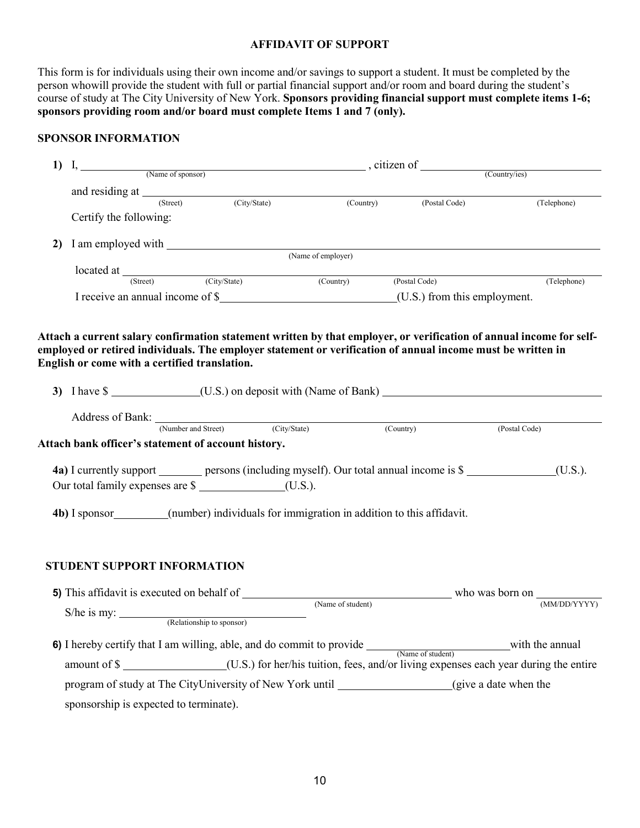#### **AFFIDAVIT OF SUPPORT**

This form is for individuals using their own income and/or savings to support a student. It must be completed by the person who will provide the student with full or partial financial support and/or room and board during the student's course of study at The City University of New York. **Sponsors providing financial support must complete items 1-6; sponsors providing room and/or board must complete Items 1 and 7 (only).** 

#### **SPONSOR INFORMATION**

| (Name of sponsor)<br>(Country/ies)<br>and residing at <u>(Street</u> )<br>(City/State)<br>(Country) (Postal Code)<br>(Telephone)<br>Certify the following:<br>I am employed with <u>Community (Name of employer)</u><br>2)<br><b>located at</b> (Street) (City/State) (Country) (Postal Code)<br>(Telephone)<br>Attach a current salary confirmation statement written by that employer, or verification of annual income for self-<br>employed or retired individuals. The employer statement or verification of annual income must be written in<br>English or come with a certified translation.<br>Address of Bank: (Number and Street) (City/State) (Country) (Country)<br>(Postal Code)<br>Attach bank officer's statement of account history.<br>4a) I currently support _________ persons (including myself). Our total annual income is \$<br>(U.S.).<br>Our total family expenses are \$ _____________________(U.S.).<br><b>4b</b> ) I sponsor_________(number) individuals for immigration in addition to this affidavit.<br><b>STUDENT SUPPORT INFORMATION</b><br><b>5)</b> This affidavit is executed on behalf of<br>who was born on<br>(Name of student)<br>(MM/DD/YYYY)<br>$S/he$ is my: $\_\_$<br>(Relationship to sponsor)<br>amount of \$ ________________(U.S.) for her/his tuition, fees, and/or living expenses each year during the entire<br>program of study at The CityUniversity of New York until _____________________(give a date when the<br>sponsorship is expected to terminate). | 1) | I, | $\overline{\phantom{a}}$ , citizen of $\overline{\phantom{a}}$ |  |  |  |
|--------------------------------------------------------------------------------------------------------------------------------------------------------------------------------------------------------------------------------------------------------------------------------------------------------------------------------------------------------------------------------------------------------------------------------------------------------------------------------------------------------------------------------------------------------------------------------------------------------------------------------------------------------------------------------------------------------------------------------------------------------------------------------------------------------------------------------------------------------------------------------------------------------------------------------------------------------------------------------------------------------------------------------------------------------------------------------------------------------------------------------------------------------------------------------------------------------------------------------------------------------------------------------------------------------------------------------------------------------------------------------------------------------------------------------------------------------------------------------------------------------------------|----|----|----------------------------------------------------------------|--|--|--|
|                                                                                                                                                                                                                                                                                                                                                                                                                                                                                                                                                                                                                                                                                                                                                                                                                                                                                                                                                                                                                                                                                                                                                                                                                                                                                                                                                                                                                                                                                                                    |    |    |                                                                |  |  |  |
|                                                                                                                                                                                                                                                                                                                                                                                                                                                                                                                                                                                                                                                                                                                                                                                                                                                                                                                                                                                                                                                                                                                                                                                                                                                                                                                                                                                                                                                                                                                    |    |    |                                                                |  |  |  |
|                                                                                                                                                                                                                                                                                                                                                                                                                                                                                                                                                                                                                                                                                                                                                                                                                                                                                                                                                                                                                                                                                                                                                                                                                                                                                                                                                                                                                                                                                                                    |    |    |                                                                |  |  |  |
|                                                                                                                                                                                                                                                                                                                                                                                                                                                                                                                                                                                                                                                                                                                                                                                                                                                                                                                                                                                                                                                                                                                                                                                                                                                                                                                                                                                                                                                                                                                    |    |    |                                                                |  |  |  |
|                                                                                                                                                                                                                                                                                                                                                                                                                                                                                                                                                                                                                                                                                                                                                                                                                                                                                                                                                                                                                                                                                                                                                                                                                                                                                                                                                                                                                                                                                                                    |    |    |                                                                |  |  |  |
|                                                                                                                                                                                                                                                                                                                                                                                                                                                                                                                                                                                                                                                                                                                                                                                                                                                                                                                                                                                                                                                                                                                                                                                                                                                                                                                                                                                                                                                                                                                    |    |    |                                                                |  |  |  |
|                                                                                                                                                                                                                                                                                                                                                                                                                                                                                                                                                                                                                                                                                                                                                                                                                                                                                                                                                                                                                                                                                                                                                                                                                                                                                                                                                                                                                                                                                                                    |    |    |                                                                |  |  |  |
|                                                                                                                                                                                                                                                                                                                                                                                                                                                                                                                                                                                                                                                                                                                                                                                                                                                                                                                                                                                                                                                                                                                                                                                                                                                                                                                                                                                                                                                                                                                    |    |    |                                                                |  |  |  |
|                                                                                                                                                                                                                                                                                                                                                                                                                                                                                                                                                                                                                                                                                                                                                                                                                                                                                                                                                                                                                                                                                                                                                                                                                                                                                                                                                                                                                                                                                                                    |    |    |                                                                |  |  |  |
|                                                                                                                                                                                                                                                                                                                                                                                                                                                                                                                                                                                                                                                                                                                                                                                                                                                                                                                                                                                                                                                                                                                                                                                                                                                                                                                                                                                                                                                                                                                    |    |    |                                                                |  |  |  |
|                                                                                                                                                                                                                                                                                                                                                                                                                                                                                                                                                                                                                                                                                                                                                                                                                                                                                                                                                                                                                                                                                                                                                                                                                                                                                                                                                                                                                                                                                                                    |    |    |                                                                |  |  |  |
|                                                                                                                                                                                                                                                                                                                                                                                                                                                                                                                                                                                                                                                                                                                                                                                                                                                                                                                                                                                                                                                                                                                                                                                                                                                                                                                                                                                                                                                                                                                    |    |    |                                                                |  |  |  |
|                                                                                                                                                                                                                                                                                                                                                                                                                                                                                                                                                                                                                                                                                                                                                                                                                                                                                                                                                                                                                                                                                                                                                                                                                                                                                                                                                                                                                                                                                                                    |    |    |                                                                |  |  |  |
|                                                                                                                                                                                                                                                                                                                                                                                                                                                                                                                                                                                                                                                                                                                                                                                                                                                                                                                                                                                                                                                                                                                                                                                                                                                                                                                                                                                                                                                                                                                    |    |    |                                                                |  |  |  |
|                                                                                                                                                                                                                                                                                                                                                                                                                                                                                                                                                                                                                                                                                                                                                                                                                                                                                                                                                                                                                                                                                                                                                                                                                                                                                                                                                                                                                                                                                                                    |    |    |                                                                |  |  |  |
|                                                                                                                                                                                                                                                                                                                                                                                                                                                                                                                                                                                                                                                                                                                                                                                                                                                                                                                                                                                                                                                                                                                                                                                                                                                                                                                                                                                                                                                                                                                    |    |    |                                                                |  |  |  |
|                                                                                                                                                                                                                                                                                                                                                                                                                                                                                                                                                                                                                                                                                                                                                                                                                                                                                                                                                                                                                                                                                                                                                                                                                                                                                                                                                                                                                                                                                                                    |    |    |                                                                |  |  |  |
|                                                                                                                                                                                                                                                                                                                                                                                                                                                                                                                                                                                                                                                                                                                                                                                                                                                                                                                                                                                                                                                                                                                                                                                                                                                                                                                                                                                                                                                                                                                    |    |    |                                                                |  |  |  |
|                                                                                                                                                                                                                                                                                                                                                                                                                                                                                                                                                                                                                                                                                                                                                                                                                                                                                                                                                                                                                                                                                                                                                                                                                                                                                                                                                                                                                                                                                                                    |    |    |                                                                |  |  |  |
|                                                                                                                                                                                                                                                                                                                                                                                                                                                                                                                                                                                                                                                                                                                                                                                                                                                                                                                                                                                                                                                                                                                                                                                                                                                                                                                                                                                                                                                                                                                    |    |    |                                                                |  |  |  |
|                                                                                                                                                                                                                                                                                                                                                                                                                                                                                                                                                                                                                                                                                                                                                                                                                                                                                                                                                                                                                                                                                                                                                                                                                                                                                                                                                                                                                                                                                                                    |    |    |                                                                |  |  |  |
|                                                                                                                                                                                                                                                                                                                                                                                                                                                                                                                                                                                                                                                                                                                                                                                                                                                                                                                                                                                                                                                                                                                                                                                                                                                                                                                                                                                                                                                                                                                    |    |    |                                                                |  |  |  |
|                                                                                                                                                                                                                                                                                                                                                                                                                                                                                                                                                                                                                                                                                                                                                                                                                                                                                                                                                                                                                                                                                                                                                                                                                                                                                                                                                                                                                                                                                                                    |    |    |                                                                |  |  |  |
|                                                                                                                                                                                                                                                                                                                                                                                                                                                                                                                                                                                                                                                                                                                                                                                                                                                                                                                                                                                                                                                                                                                                                                                                                                                                                                                                                                                                                                                                                                                    |    |    |                                                                |  |  |  |
|                                                                                                                                                                                                                                                                                                                                                                                                                                                                                                                                                                                                                                                                                                                                                                                                                                                                                                                                                                                                                                                                                                                                                                                                                                                                                                                                                                                                                                                                                                                    |    |    |                                                                |  |  |  |
|                                                                                                                                                                                                                                                                                                                                                                                                                                                                                                                                                                                                                                                                                                                                                                                                                                                                                                                                                                                                                                                                                                                                                                                                                                                                                                                                                                                                                                                                                                                    |    |    |                                                                |  |  |  |
|                                                                                                                                                                                                                                                                                                                                                                                                                                                                                                                                                                                                                                                                                                                                                                                                                                                                                                                                                                                                                                                                                                                                                                                                                                                                                                                                                                                                                                                                                                                    |    |    |                                                                |  |  |  |
|                                                                                                                                                                                                                                                                                                                                                                                                                                                                                                                                                                                                                                                                                                                                                                                                                                                                                                                                                                                                                                                                                                                                                                                                                                                                                                                                                                                                                                                                                                                    |    |    |                                                                |  |  |  |
|                                                                                                                                                                                                                                                                                                                                                                                                                                                                                                                                                                                                                                                                                                                                                                                                                                                                                                                                                                                                                                                                                                                                                                                                                                                                                                                                                                                                                                                                                                                    |    |    |                                                                |  |  |  |